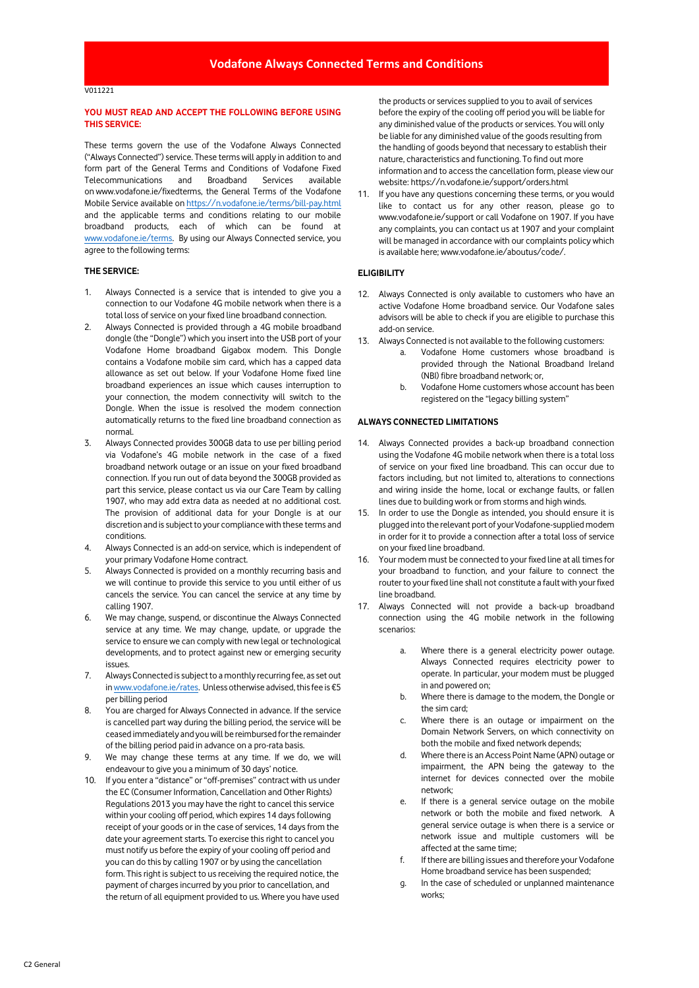## **YOU MUST READ AND ACCEPT THE FOLLOWING BEFORE USING THIS SERVICE:**

These terms govern the use of the Vodafone Always Connected ("Always Connected") service. These terms will apply in addition to and form part of the General Terms and Conditions of Vodafone Fixed Telecommunications and Broadband Services available on [www.vodafone.ie/fixedterms,](http://www.vodafone.ie/fixedterms) the General Terms of the Vodafone Mobile Service available on <https://n.vodafone.ie/terms/bill-pay.html> and the applicable terms and conditions relating to our mobile broadband products, each of which can be found at [www.vodafone.ie/terms.](http://www.vodafone.ie/terms) By using our Always Connected service, you agree to the following terms:

### **THE SERVICE:**

- 1. Always Connected is a service that is intended to give you a connection to our Vodafone 4G mobile network when there is a total loss of service on your fixed line broadband connection.
- 2. Always Connected is provided through a 4G mobile broadband dongle (the "Dongle") which you insert into the USB port of your Vodafone Home broadband Gigabox modem. This Dongle contains a Vodafone mobile sim card, which has a capped data allowance as set out below. If your Vodafone Home fixed line broadband experiences an issue which causes interruption to your connection, the modem connectivity will switch to the Dongle. When the issue is resolved the modem connection automatically returns to the fixed line broadband connection as normal.
- 3. Always Connected provides 300GB data to use per billing period via Vodafone's 4G mobile network in the case of a fixed broadband network outage or an issue on your fixed broadband connection. If you run out of data beyond the 300GB provided as part this service, please contact us via our Care Team by calling 1907, who may add extra data as needed at no additional cost. The provision of additional data for your Dongle is at our discretion and is subject to your compliance with these terms and conditions.
- 4. Always Connected is an add-on service, which is independent of your primary Vodafone Home contract.
- 5. Always Connected is provided on a monthly recurring basis and we will continue to provide this service to you until either of us cancels the service. You can cancel the service at any time by calling 1907.
- 6. We may change, suspend, or discontinue the Always Connected service at any time. We may change, update, or upgrade the service to ensure we can comply with new legal or technological developments, and to protect against new or emerging security issues.
- 7. Always Connected is subject to a monthly recurring fee, as set out i[n www.vodafone.ie/rates](http://www.vodafone.ie/rates). Unless otherwise advised, this fee is €5 per billing period
- 8. You are charged for Always Connected in advance. If the service is cancelled part way during the billing period, the service will be ceased immediately and you will be reimbursed for the remainder of the billing period paid in advance on a pro-rata basis.
- 9. We may change these terms at any time. If we do, we will endeavour to give you a minimum of 30 days' notice.
- 10. If you enter a "distance" or "off-premises" contract with us under the EC (Consumer Information, Cancellation and Other Rights) Regulations 2013 you may have the right to cancel this service within your cooling off period, which expires 14 days following receipt of your goods or in the case of services, 14 days from the date your agreement starts. To exercise this right to cancel you must notify us before the expiry of your cooling off period and you can do this by calling 1907 or by using the cancellation form. This right is subject to us receiving the required notice, the payment of charges incurred by you prior to cancellation, and the return of all equipment provided to us. Where you have used

the products or services supplied to you to avail of services before the expiry of the cooling off period you will be liable for any diminished value of the products or services. You will only be liable for any diminished value of the goods resulting from the handling of goods beyond that necessary to establish their nature, characteristics and functioning. To find out more information and to access the cancellation form, please view our website: https://n.vodafone.ie/support/orders.html

11. If you have any questions concerning these terms, or you would like to contact us for any other reason, please go to www.vodafone.ie/support or call Vodafone on 1907. If you have any complaints, you can contact us at 1907 and your complaint will be managed in accordance with our complaints policy which is available here; www.vodafone.ie/aboutus/code/.

### **ELIGIBILITY**

- 12. Always Connected is only available to customers who have an active Vodafone Home broadband service. Our Vodafone sales advisors will be able to check if you are eligible to purchase this add-on service.
- 13. Always Connected is not available to the following customers:
	- a. Vodafone Home customers whose broadband is provided through the National Broadband Ireland (NBI) fibre broadband network; or,
	- b. Vodafone Home customers whose account has been registered on the "legacy billing system"

#### **ALWAYS CONNECTED LIMITATIONS**

- 14. Always Connected provides a back-up broadband connection using the Vodafone 4G mobile network when there is a total loss of service on your fixed line broadband. This can occur due to factors including, but not limited to, alterations to connections and wiring inside the home, local or exchange faults, or fallen lines due to building work or from storms and high winds.
- 15. In order to use the Dongle as intended, you should ensure it is plugged into the relevant port of your Vodafone-supplied modem in order for it to provide a connection after a total loss of service on your fixed line broadband.
- 16. Your modem must be connected to your fixed line at all times for your broadband to function, and your failure to connect the router to your fixed line shall not constitute a fault with your fixed line broadband.
- 17. Always Connected will not provide a back-up broadband connection using the 4G mobile network in the following scenarios:
	- a. Where there is a general electricity power outage. Always Connected requires electricity power to operate. In particular, your modem must be plugged in and powered on;
	- b. Where there is damage to the modem, the Dongle or the sim card;
	- c. Where there is an outage or impairment on the Domain Network Servers, on which connectivity on both the mobile and fixed network depends;
	- d. Where there is an Access Point Name (APN) outage or impairment, the APN being the gateway to the internet for devices connected over the mobile network;
	- e. If there is a general service outage on the mobile network or both the mobile and fixed network. A general service outage is when there is a service or network issue and multiple customers will be affected at the same time;
	- f. If there are billing issues and therefore your Vodafone Home broadband service has been suspended;
	- g. In the case of scheduled or unplanned maintenance works;